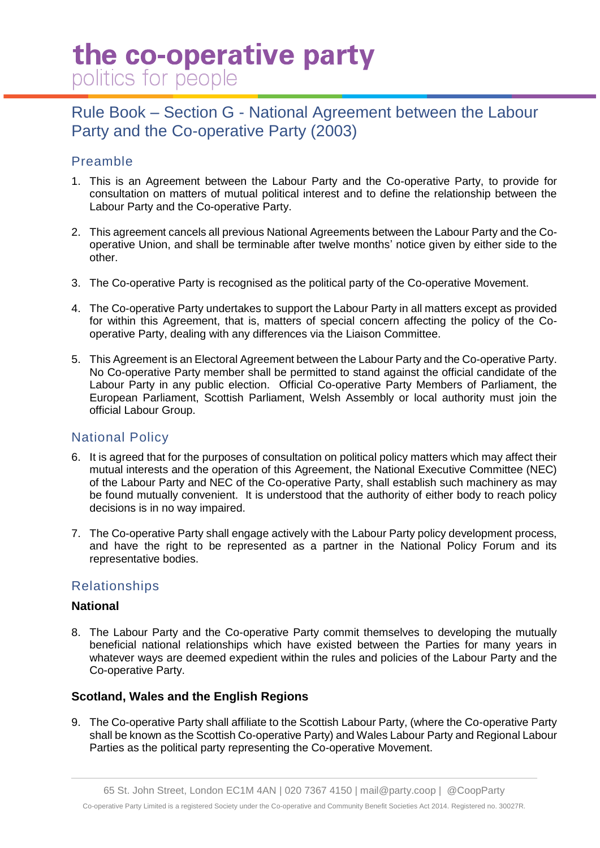# the co-operative party politics for people

# Rule Book – Section G - National Agreement between the Labour Party and the Co-operative Party (2003)

# Preamble

- 1. This is an Agreement between the Labour Party and the Co-operative Party, to provide for consultation on matters of mutual political interest and to define the relationship between the Labour Party and the Co-operative Party.
- 2. This agreement cancels all previous National Agreements between the Labour Party and the Cooperative Union, and shall be terminable after twelve months' notice given by either side to the other.
- 3. The Co-operative Party is recognised as the political party of the Co-operative Movement.
- 4. The Co-operative Party undertakes to support the Labour Party in all matters except as provided for within this Agreement, that is, matters of special concern affecting the policy of the Cooperative Party, dealing with any differences via the Liaison Committee.
- 5. This Agreement is an Electoral Agreement between the Labour Party and the Co-operative Party. No Co-operative Party member shall be permitted to stand against the official candidate of the Labour Party in any public election. Official Co-operative Party Members of Parliament, the European Parliament, Scottish Parliament, Welsh Assembly or local authority must join the official Labour Group.

## National Policy

- 6. It is agreed that for the purposes of consultation on political policy matters which may affect their mutual interests and the operation of this Agreement, the National Executive Committee (NEC) of the Labour Party and NEC of the Co-operative Party, shall establish such machinery as may be found mutually convenient. It is understood that the authority of either body to reach policy decisions is in no way impaired.
- 7. The Co-operative Party shall engage actively with the Labour Party policy development process, and have the right to be represented as a partner in the National Policy Forum and its representative bodies.

## Relationships

#### **National**

8. The Labour Party and the Co-operative Party commit themselves to developing the mutually beneficial national relationships which have existed between the Parties for many years in whatever ways are deemed expedient within the rules and policies of the Labour Party and the Co-operative Party.

#### **Scotland, Wales and the English Regions**

9. The Co-operative Party shall affiliate to the Scottish Labour Party, (where the Co-operative Party shall be known as the Scottish Co-operative Party) and Wales Labour Party and Regional Labour Parties as the political party representing the Co-operative Movement.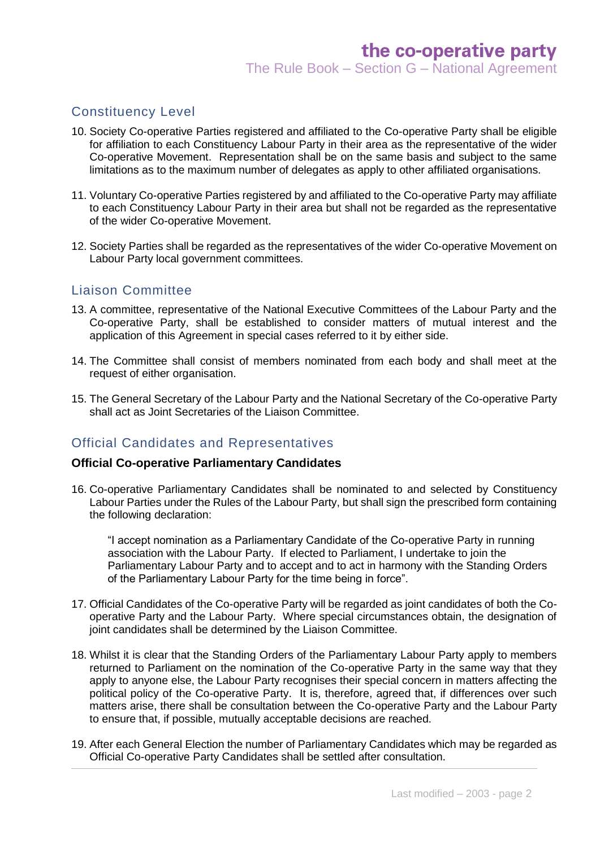#### Constituency Level

- 10. Society Co-operative Parties registered and affiliated to the Co-operative Party shall be eligible for affiliation to each Constituency Labour Party in their area as the representative of the wider Co-operative Movement. Representation shall be on the same basis and subject to the same limitations as to the maximum number of delegates as apply to other affiliated organisations.
- 11. Voluntary Co-operative Parties registered by and affiliated to the Co-operative Party may affiliate to each Constituency Labour Party in their area but shall not be regarded as the representative of the wider Co-operative Movement.
- 12. Society Parties shall be regarded as the representatives of the wider Co-operative Movement on Labour Party local government committees.

#### Liaison Committee

- 13. A committee, representative of the National Executive Committees of the Labour Party and the Co-operative Party, shall be established to consider matters of mutual interest and the application of this Agreement in special cases referred to it by either side.
- 14. The Committee shall consist of members nominated from each body and shall meet at the request of either organisation.
- 15. The General Secretary of the Labour Party and the National Secretary of the Co-operative Party shall act as Joint Secretaries of the Liaison Committee.

#### Official Candidates and Representatives

#### **Official Co-operative Parliamentary Candidates**

16. Co-operative Parliamentary Candidates shall be nominated to and selected by Constituency Labour Parties under the Rules of the Labour Party, but shall sign the prescribed form containing the following declaration:

"I accept nomination as a Parliamentary Candidate of the Co-operative Party in running association with the Labour Party. If elected to Parliament, I undertake to join the Parliamentary Labour Party and to accept and to act in harmony with the Standing Orders of the Parliamentary Labour Party for the time being in force".

- 17. Official Candidates of the Co-operative Party will be regarded as joint candidates of both the Cooperative Party and the Labour Party. Where special circumstances obtain, the designation of joint candidates shall be determined by the Liaison Committee.
- 18. Whilst it is clear that the Standing Orders of the Parliamentary Labour Party apply to members returned to Parliament on the nomination of the Co-operative Party in the same way that they apply to anyone else, the Labour Party recognises their special concern in matters affecting the political policy of the Co-operative Party. It is, therefore, agreed that, if differences over such matters arise, there shall be consultation between the Co-operative Party and the Labour Party to ensure that, if possible, mutually acceptable decisions are reached.
- 19. After each General Election the number of Parliamentary Candidates which may be regarded as Official Co-operative Party Candidates shall be settled after consultation.